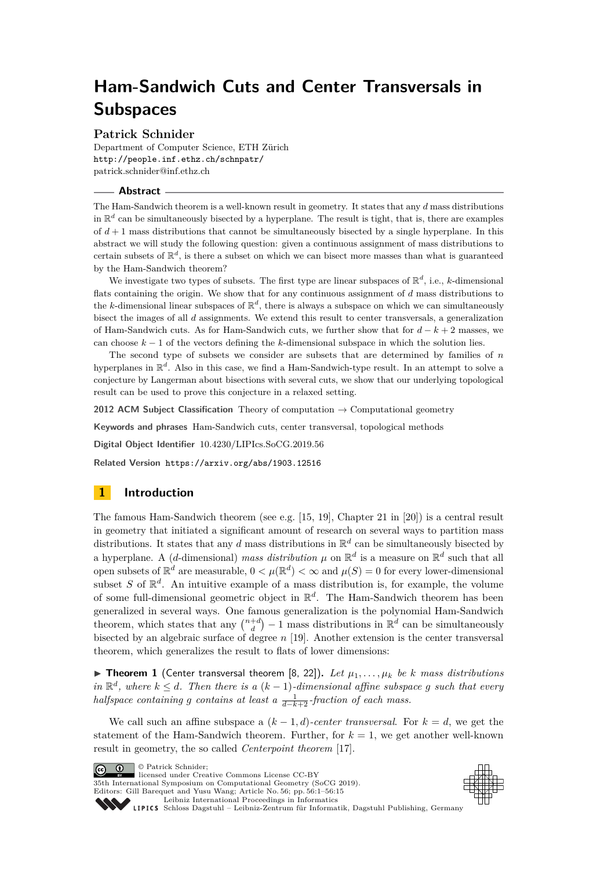# **Ham-Sandwich Cuts and Center Transversals in Subspaces**

## **Patrick Schnider**

Department of Computer Science, ETH Zürich <http://people.inf.ethz.ch/schnpatr/> [patrick.schnider@inf.ethz.ch](mailto:patrick.schnider@inf.ethz.ch)

## **Abstract**

The Ham-Sandwich theorem is a well-known result in geometry. It states that any *d* mass distributions in  $\mathbb{R}^d$  can be simultaneously bisected by a hyperplane. The result is tight, that is, there are examples of  $d+1$  mass distributions that cannot be simultaneously bisected by a single hyperplane. In this abstract we will study the following question: given a continuous assignment of mass distributions to certain subsets of  $\mathbb{R}^d$ , is there a subset on which we can bisect more masses than what is guaranteed by the Ham-Sandwich theorem?

We investigate two types of subsets. The first type are linear subspaces of  $\mathbb{R}^d$ , i.e., *k*-dimensional flats containing the origin. We show that for any continuous assignment of *d* mass distributions to the *k*-dimensional linear subspaces of  $\mathbb{R}^d$ , there is always a subspace on which we can simultaneously bisect the images of all *d* assignments. We extend this result to center transversals, a generalization of Ham-Sandwich cuts. As for Ham-Sandwich cuts, we further show that for *d* − *k* + 2 masses, we can choose  $k-1$  of the vectors defining the *k*-dimensional subspace in which the solution lies.

The second type of subsets we consider are subsets that are determined by families of *n* hyperplanes in  $\mathbb{R}^d$ . Also in this case, we find a Ham-Sandwich-type result. In an attempt to solve a conjecture by Langerman about bisections with several cuts, we show that our underlying topological result can be used to prove this conjecture in a relaxed setting.

**2012 ACM Subject Classification** Theory of computation → Computational geometry

**Keywords and phrases** Ham-Sandwich cuts, center transversal, topological methods

**Digital Object Identifier** [10.4230/LIPIcs.SoCG.2019.56](https://doi.org/10.4230/LIPIcs.SoCG.2019.56)

**Related Version** <https://arxiv.org/abs/1903.12516>

# **1 Introduction**

The famous Ham-Sandwich theorem (see e.g. [\[15,](#page-13-0) [19\]](#page-14-0), Chapter 21 in [\[20\]](#page-14-1)) is a central result in geometry that initiated a significant amount of research on several ways to partition mass distributions. It states that any *d* mass distributions in  $\mathbb{R}^d$  can be simultaneously bisected by a hyperplane. A (*d*-dimensional) *mass distribution*  $\mu$  on  $\mathbb{R}^d$  is a measure on  $\mathbb{R}^d$  such that all open subsets of  $\mathbb{R}^d$  are measurable,  $0 < \mu(\mathbb{R}^d) < \infty$  and  $\mu(S) = 0$  for every lower-dimensional subset *S* of  $\mathbb{R}^d$ . An intuitive example of a mass distribution is, for example, the volume of some full-dimensional geometric object in R *d* . The Ham-Sandwich theorem has been generalized in several ways. One famous generalization is the polynomial Ham-Sandwich theorem, which states that any  $\binom{n+d}{d} - 1$  mass distributions in  $\mathbb{R}^d$  can be simultaneously bisected by an algebraic surface of degree *n* [\[19\]](#page-14-0). Another extension is the center transversal theorem, which generalizes the result to flats of lower dimensions:

 $\triangleright$  **Theorem 1** (Center transversal theorem [\[8,](#page-13-1) [22\]](#page-14-2)). Let  $\mu_1, \ldots, \mu_k$  be *k* mass distributions *in*  $\mathbb{R}^d$ , where *k* ≤ *d.* Then there is a (*k* − 1)*-dimensional affine subspace g such that every halfspace containing g contains at least a*  $\frac{1}{d-k+2}$ *-fraction of each mass.* 

We call such an affine subspace a  $(k-1,d)$ *-center transversal.* For  $k=d$ , we get the statement of the Ham-Sandwich theorem. Further, for  $k = 1$ , we get another well-known result in geometry, the so called *Centerpoint theorem* [\[17\]](#page-13-2).

 $\boxed{\text{c}}$   $\boxed{\text{ }0\quad}$   $\circ$  Patrick Schnider:

licensed under Creative Commons License CC-BY 35th International Symposium on Computational Geometry (SoCG 2019).

Editors: Gill Barequet and Yusu Wang; Article No. 56; pp. 56:1–56[:15](#page-14-3) [Leibniz International Proceedings in Informatics](https://www.dagstuhl.de/lipics/)



Leibniz International Froceedings in miormatics<br>
LIPICS [Schloss Dagstuhl – Leibniz-Zentrum für Informatik, Dagstuhl Publishing, Germany](https://www.dagstuhl.de)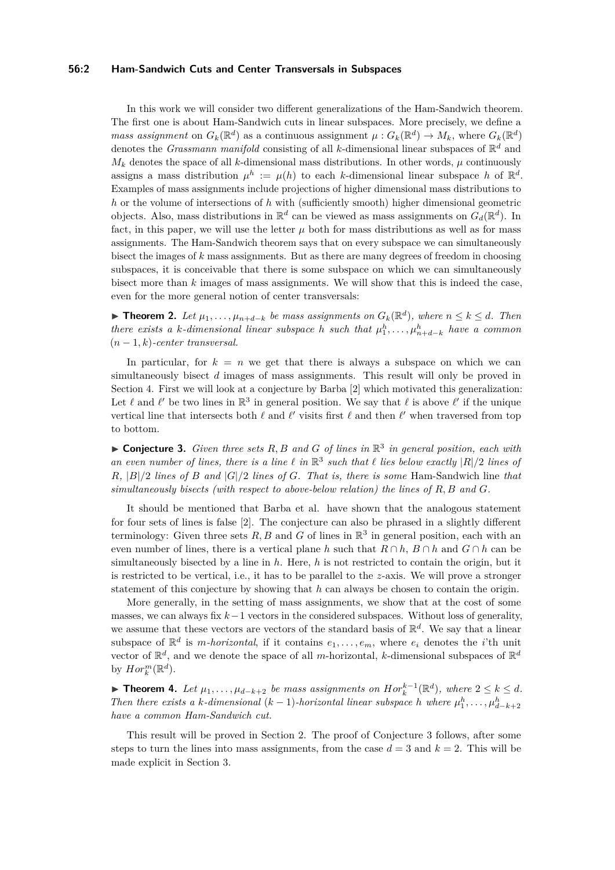## **56:2 Ham-Sandwich Cuts and Center Transversals in Subspaces**

In this work we will consider two different generalizations of the Ham-Sandwich theorem. The first one is about Ham-Sandwich cuts in linear subspaces. More precisely, we define a *mass assignment* on  $G_k(\mathbb{R}^d)$  as a continuous assignment  $\mu: G_k(\mathbb{R}^d) \to M_k$ , where  $G_k(\mathbb{R}^d)$ denotes the *Grassmann manifold* consisting of all *k*-dimensional linear subspaces of R *<sup>d</sup>* and  $M_k$  denotes the space of all *k*-dimensional mass distributions. In other words,  $\mu$  continuously assigns a mass distribution  $\mu^h := \mu(h)$  to each *k*-dimensional linear subspace *h* of  $\mathbb{R}^d$ . Examples of mass assignments include projections of higher dimensional mass distributions to *h* or the volume of intersections of *h* with (sufficiently smooth) higher dimensional geometric objects. Also, mass distributions in  $\mathbb{R}^d$  can be viewed as mass assignments on  $G_d(\mathbb{R}^d)$ . In fact, in this paper, we will use the letter  $\mu$  both for mass distributions as well as for mass assignments. The Ham-Sandwich theorem says that on every subspace we can simultaneously bisect the images of *k* mass assignments. But as there are many degrees of freedom in choosing subspaces, it is conceivable that there is some subspace on which we can simultaneously bisect more than *k* images of mass assignments. We will show that this is indeed the case, even for the more general notion of center transversals:

<span id="page-1-2"></span>▶ **Theorem 2.** Let  $\mu_1, \ldots, \mu_{n+d-k}$  be mass assignments on  $G_k(\mathbb{R}^d)$ , where  $n \leq k \leq d$ . Then *there exists a k*-dimensional linear subspace *h* such that  $\mu_1^h, \ldots, \mu_{n+d-k}^h$  have a common (*n* − 1*, k*)*-center transversal.*

In particular, for  $k = n$  we get that there is always a subspace on which we can simultaneously bisect *d* images of mass assignments. This result will only be proved in Section [4.](#page-6-0) First we will look at a conjecture by Barba [\[2\]](#page-13-3) which motivated this generalization: Let  $\ell$  and  $\ell'$  be two lines in  $\mathbb{R}^3$  in general position. We say that  $\ell$  is above  $\ell'$  if the unique vertical line that intersects both  $\ell$  and  $\ell'$  visits first  $\ell$  and then  $\ell'$  when traversed from top to bottom.

<span id="page-1-0"></span> $\triangleright$  **Conjecture 3.** *Given three sets*  $R$ ,  $B$  *and*  $G$  *of lines in*  $\mathbb{R}^3$  *in general position, each with* an even number of lines, there is a line  $\ell$  in  $\mathbb{R}^3$  such that  $\ell$  lies below exactly  $|R|/2$  lines of *R,* |*B*|*/*2 *lines of B and* |*G*|*/*2 *lines of G. That is, there is some* Ham-Sandwich line *that simultaneously bisects (with respect to above-below relation) the lines of R, B and G.*

It should be mentioned that Barba et al. have shown that the analogous statement for four sets of lines is false [\[2\]](#page-13-3). The conjecture can also be phrased in a slightly different terminology: Given three sets  $R, B$  and  $G$  of lines in  $\mathbb{R}^3$  in general position, each with an even number of lines, there is a vertical plane *h* such that  $R \cap h$ ,  $B \cap h$  and  $G \cap h$  can be simultaneously bisected by a line in *h*. Here, *h* is not restricted to contain the origin, but it is restricted to be vertical, i.e., it has to be parallel to the  $z$ -axis. We will prove a stronger statement of this conjecture by showing that *h* can always be chosen to contain the origin.

More generally, in the setting of mass assignments, we show that at the cost of some masses, we can always fix *k*−1 vectors in the considered subspaces. Without loss of generality, we assume that these vectors are vectors of the standard basis of R *d* . We say that a linear subspace of  $\mathbb{R}^d$  is *m-horizontal*, if it contains  $e_1, \ldots, e_m$ , where  $e_i$  denotes the *i*'th unit vector of  $\mathbb{R}^d$ , and we denote the space of all *m*-horizontal, *k*-dimensional subspaces of  $\mathbb{R}^d$ by  $Hor_k^m(\mathbb{R}^d)$ .

<span id="page-1-1"></span>► **Theorem 4.** Let  $\mu_1, \ldots, \mu_{d-k+2}$  be mass assignments on  $Hor_k^{k-1}(\mathbb{R}^d)$ , where  $2 \leq k \leq d$ . *Then there exists a k*-dimensional (*k* − 1)-*horizontal linear subspace h* where  $\mu_1^h, \ldots, \mu_{d-k+2}^h$ *have a common Ham-Sandwich cut.*

This result will be proved in Section [2.](#page-4-0) The proof of Conjecture [3](#page-1-0) follows, after some steps to turn the lines into mass assignments, from the case  $d = 3$  and  $k = 2$ . This will be made explicit in Section [3.](#page-5-0)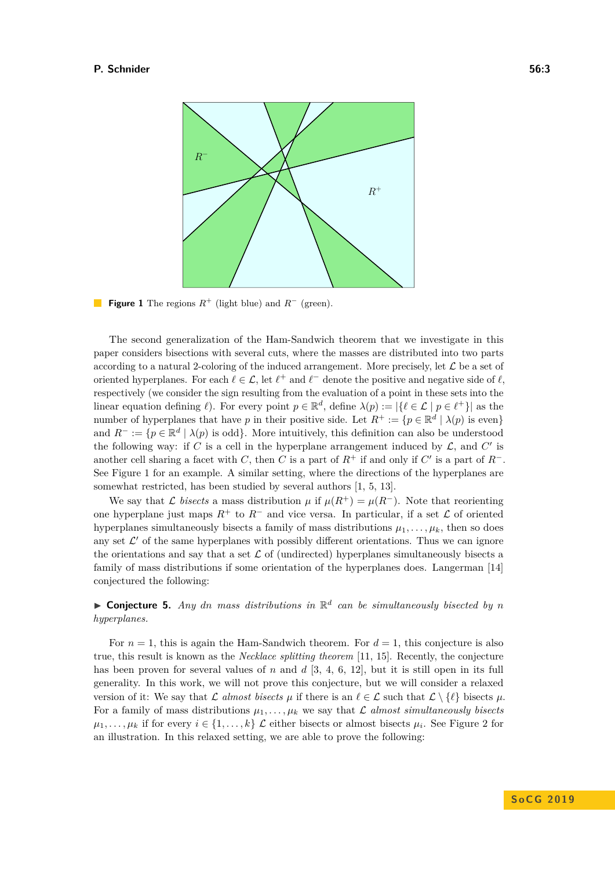<span id="page-2-0"></span>

**Figure 1** The regions  $R^+$  (light blue) and  $R^-$  (green).

The second generalization of the Ham-Sandwich theorem that we investigate in this paper considers bisections with several cuts, where the masses are distributed into two parts according to a natural 2-coloring of the induced arrangement. More precisely, let  $\mathcal L$  be a set of oriented hyperplanes. For each  $\ell \in \mathcal{L}$ , let  $\ell^+$  and  $\ell^-$  denote the positive and negative side of  $\ell$ , respectively (we consider the sign resulting from the evaluation of a point in these sets into the linear equation defining  $\ell$ ). For every point  $p \in \mathbb{R}^d$ , define  $\lambda(p) := |\{\ell \in \mathcal{L} \mid p \in \ell^+\}|$  as the number of hyperplanes that have *p* in their positive side. Let  $R^+ := \{p \in \mathbb{R}^d \mid \lambda(p) \text{ is even}\}\$ and  $R^- := \{ p \in \mathbb{R}^d \mid \lambda(p) \text{ is odd} \}.$  More intuitively, this definition can also be understood the following way: if  $C$  is a cell in the hyperplane arrangement induced by  $\mathcal{L}$ , and  $C'$  is another cell sharing a facet with *C*, then *C* is a part of  $R^+$  if and only if *C'* is a part of  $R^-$ . See Figure [1](#page-2-0) for an example. A similar setting, where the directions of the hyperplanes are somewhat restricted, has been studied by several authors [\[1,](#page-13-4) [5,](#page-13-5) [13\]](#page-13-6).

We say that  $\mathcal L$  *bisects* a mass distribution  $\mu$  if  $\mu(R^+) = \mu(R^-)$ . Note that reorienting one hyperplane just maps  $R^+$  to  $R^-$  and vice versa. In particular, if a set  $\mathcal L$  of oriented hyperplanes simultaneously bisects a family of mass distributions  $\mu_1, \ldots, \mu_k$ , then so does any set  $\mathcal{L}'$  of the same hyperplanes with possibly different orientations. Thus we can ignore the orientations and say that a set  $\mathcal L$  of (undirected) hyperplanes simultaneously bisects a family of mass distributions if some orientation of the hyperplanes does. Langerman [\[14\]](#page-13-7) conjectured the following:

<span id="page-2-1"></span>**Conjecture 5.** Any dn mass distributions in  $\mathbb{R}^d$  can be simultaneously bisected by n *hyperplanes.*

For  $n = 1$ , this is again the Ham-Sandwich theorem. For  $d = 1$ , this conjecture is also true, this result is known as the *Necklace splitting theorem* [\[11,](#page-13-8) [15\]](#page-13-0). Recently, the conjecture has been proven for several values of *n* and *d* [\[3,](#page-13-9) [4,](#page-13-10) [6,](#page-13-11) [12\]](#page-13-12), but it is still open in its full generality. In this work, we will not prove this conjecture, but we will consider a relaxed version of it: We say that  $\mathcal{L}$  *almost bisects*  $\mu$  if there is an  $\ell \in \mathcal{L}$  such that  $\mathcal{L} \setminus \{ \ell \}$  bisects  $\mu$ . For a family of mass distributions  $\mu_1, \ldots, \mu_k$  we say that L almost simultaneously bisects  $\mu_1, \ldots, \mu_k$  if for every  $i \in \{1, \ldots, k\}$  L either bisects or almost bisects  $\mu_i$ . See Figure [2](#page-3-0) for an illustration. In this relaxed setting, we are able to prove the following: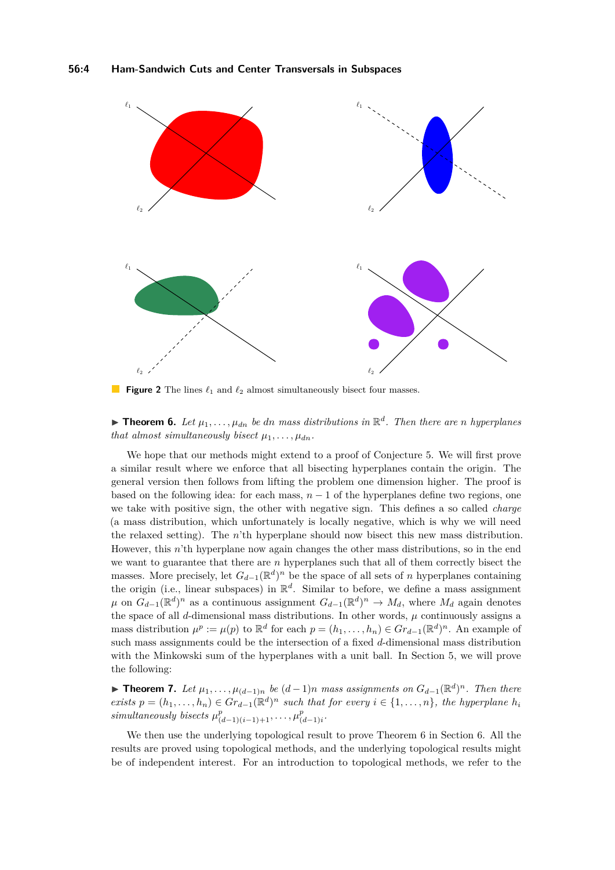<span id="page-3-0"></span>

**Figure 2** The lines  $\ell_1$  and  $\ell_2$  almost simultaneously bisect four masses.

<span id="page-3-1"></span>**Find 1.** Theorem 6. Let  $\mu_1, \ldots, \mu_{dn}$  be dn mass distributions in  $\mathbb{R}^d$ . Then there are *n* hyperplanes *that almost simultaneously bisect*  $\mu_1, \ldots, \mu_{dn}$ .

We hope that our methods might extend to a proof of Conjecture [5.](#page-2-1) We will first prove a similar result where we enforce that all bisecting hyperplanes contain the origin. The general version then follows from lifting the problem one dimension higher. The proof is based on the following idea: for each mass,  $n-1$  of the hyperplanes define two regions, one we take with positive sign, the other with negative sign. This defines a so called *charge* (a mass distribution, which unfortunately is locally negative, which is why we will need the relaxed setting). The *n*'th hyperplane should now bisect this new mass distribution. However, this *n*'th hyperplane now again changes the other mass distributions, so in the end we want to guarantee that there are *n* hyperplanes such that all of them correctly bisect the masses. More precisely, let  $G_{d-1}(\mathbb{R}^d)^n$  be the space of all sets of *n* hyperplanes containing the origin (i.e., linear subspaces) in R *d* . Similar to before, we define a mass assignment  $\mu$  on  $G_{d-1}(\mathbb{R}^d)^n$  as a continuous assignment  $G_{d-1}(\mathbb{R}^d)^n \to M_d$ , where  $M_d$  again denotes the space of all  $d$ -dimensional mass distributions. In other words,  $\mu$  continuously assigns a mass distribution  $\mu^p := \mu(p)$  to  $\mathbb{R}^d$  for each  $p = (h_1, \ldots, h_n) \in Gr_{d-1}(\mathbb{R}^d)^n$ . An example of such mass assignments could be the intersection of a fixed *d*-dimensional mass distribution with the Minkowski sum of the hyperplanes with a unit ball. In Section [5,](#page-8-0) we will prove the following:

<span id="page-3-2"></span>**► Theorem 7.** Let  $\mu_1, \ldots, \mu_{(d-1)n}$  be  $(d-1)n$  mass assignments on  $G_{d-1}(\mathbb{R}^d)^n$ . Then there *exists*  $p = (h_1, \ldots, h_n) \in \text{Gr}_{d-1}(\mathbb{R}^d)^n$  *such that for every*  $i \in \{1, \ldots, n\}$ *, the hyperplane*  $h_i$ *simultaneously bisects*  $\mu_{(d-1)(i-1)+1}^p, \ldots, \mu_{(d)}^p$ (*d*−1)*i .*

We then use the underlying topological result to prove Theorem [6](#page-3-1) in Section [6.](#page-9-0) All the results are proved using topological methods, and the underlying topological results might be of independent interest. For an introduction to topological methods, we refer to the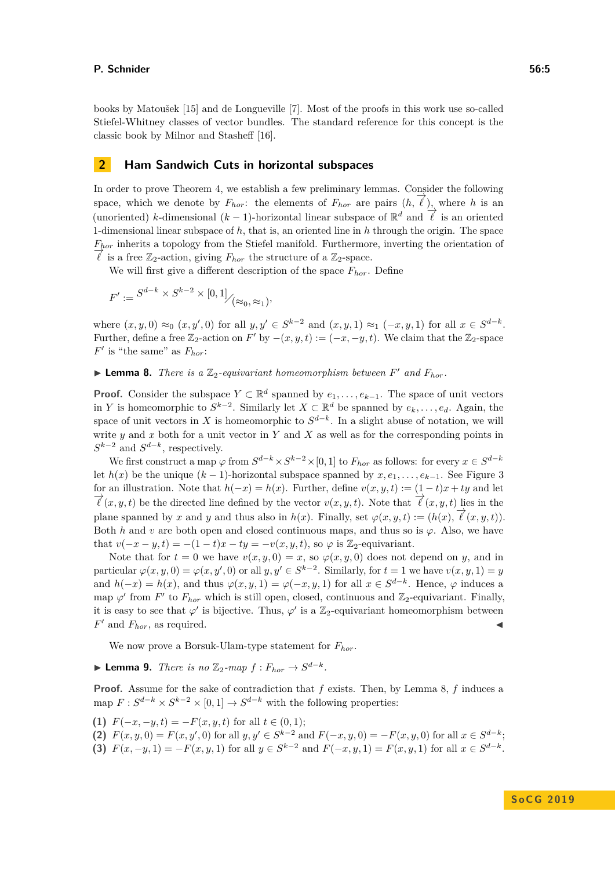books by Matoušek [\[15\]](#page-13-0) and de Longueville [\[7\]](#page-13-13). Most of the proofs in this work use so-called Stiefel-Whitney classes of vector bundles. The standard reference for this concept is the classic book by Milnor and Stasheff [\[16\]](#page-13-14).

## <span id="page-4-0"></span>**2 Ham Sandwich Cuts in horizontal subspaces**

In order to prove Theorem [4,](#page-1-1) we establish a few preliminary lemmas. Consider the following space, which we denote by  $F_{hor}$ : the elements of  $F_{hor}$  are pairs  $(h, \vec{\ell})$ , where *h* is an (unoriented) *k*-dimensional  $(k-1)$ -horizontal linear subspace of  $\mathbb{R}^d$  and  $\overline{\ell}$  is an oriented (*k*) 1-dimensional linear subspace of *h*, that is, an oriented line in *h* through the origin. The space *Fhor* inherits a topology from the Stiefel manifold. Furthermore, inverting the orientation of  $\overline{\ell}$  is a free  $\mathbb{Z}_2$ -action, giving  $F_{hor}$  the structure of a  $\mathbb{Z}_2$ -space.

We will first give a different description of the space *Fhor*. Define

$$
F' := S^{d-k} \times S^{k-2} \times [0,1] /_{(\approx_0,\approx_1)},
$$

where  $(x, y, 0) \approx_0 (x, y', 0)$  for all  $y, y' \in S^{k-2}$  and  $(x, y, 1) \approx_1 (-x, y, 1)$  for all  $x \in S^{d-k}$ . Further, define a free  $\mathbb{Z}_2$ -action on *F*<sup>'</sup> by  $-(x, y, t) := (-x, -y, t)$ . We claim that the  $\mathbb{Z}_2$ -space  $F'$  is "the same" as  $F_{hor}$ :

<span id="page-4-1"></span>**Example 10.** There is a  $\mathbb{Z}_2$ -equivariant homeomorphism between  $F'$  and  $F_{hor}$ .

**Proof.** Consider the subspace  $Y \subset \mathbb{R}^d$  spanned by  $e_1, \ldots, e_{k-1}$ . The space of unit vectors in *Y* is homeomorphic to  $S^{k-2}$ . Similarly let  $X \subset \mathbb{R}^d$  be spanned by  $e_k, \ldots, e_d$ . Again, the space of unit vectors in *X* is homeomorphic to  $S^{d-k}$ . In a slight abuse of notation, we will write *y* and *x* both for a unit vector in *Y* and *X* as well as for the corresponding points in  $S^{k-2}$  and  $S^{d-k}$ , respectively.

We first construct a map  $\varphi$  from  $S^{d-k} \times S^{k-2} \times [0,1]$  to  $F_{hor}$  as follows: for every  $x \in S^{d-k}$ let  $h(x)$  be the unique  $(k-1)$ -horizontal subspace spanned by  $x, e_1, \ldots, e_{k-1}$ . See Figure [3](#page-5-1) for an illustration. Note that  $h(-x) = h(x)$ . Further, define  $v(x, y, t) := (1 - t)x + ty$  and let  $\overrightarrow{\ell}(x, y, t)$  be the directed line defined by the vector  $v(x, y, t)$ . Note that  $\overrightarrow{\ell}(x, y, t)$  lies in the plane spanned by *x* and *y* and thus also in  $h(x)$ . Finally, set  $\varphi(x, y, t) := (h(x), \vec{\ell}(x, y, t))$ . Both *h* and *v* are both open and closed continuous maps, and thus so is  $\varphi$ . Also, we have that  $v(-x-y,t) = -(1-t)x - ty = -v(x, y, t)$ , so  $\varphi$  is Z<sub>2</sub>-equivariant.

Note that for  $t = 0$  we have  $v(x, y, 0) = x$ , so  $\varphi(x, y, 0)$  does not depend on *y*, and in particular  $\varphi(x, y, 0) = \varphi(x, y', 0)$  or all  $y, y' \in S^{k-2}$ . Similarly, for  $t = 1$  we have  $v(x, y, 1) = y$ and  $h(-x) = h(x)$ , and thus  $\varphi(x, y, 1) = \varphi(-x, y, 1)$  for all  $x \in S^{d-k}$ . Hence,  $\varphi$  induces a map  $\varphi'$  from *F'* to  $F_{hor}$  which is still open, closed, continuous and  $\mathbb{Z}_2$ -equivariant. Finally, it is easy to see that  $\varphi'$  is bijective. Thus,  $\varphi'$  is a Z<sub>2</sub>-equivariant homeomorphism between  $F'$  and  $F_{hor}$ , as required.

We now prove a Borsuk-Ulam-type statement for *Fhor*.

<span id="page-4-2"></span>▶ **Lemma 9.** *There is no*  $\mathbb{Z}_2$ -map  $f : F_{hor} \rightarrow S^{d-k}$ .

**Proof.** Assume for the sake of contradiction that *f* exists. Then, by Lemma [8,](#page-4-1) *f* induces a map  $F: S^{d-k} \times S^{k-2} \times [0,1] \to S^{d-k}$  with the following properties:

- **(1)**  $F(-x, -y, t) = -F(x, y, t)$  for all  $t \in (0, 1);$
- **(2)**  $F(x, y, 0) = F(x, y', 0)$  for all  $y, y' \in S^{k-2}$  and  $F(-x, y, 0) = -F(x, y, 0)$  for all  $x \in S^{d-k}$ ;
- **(3)**  $F(x, -y, 1) = -F(x, y, 1)$  for all  $y \in S^{k-2}$  and  $F(-x, y, 1) = F(x, y, 1)$  for all  $x \in S^{d-k}$ .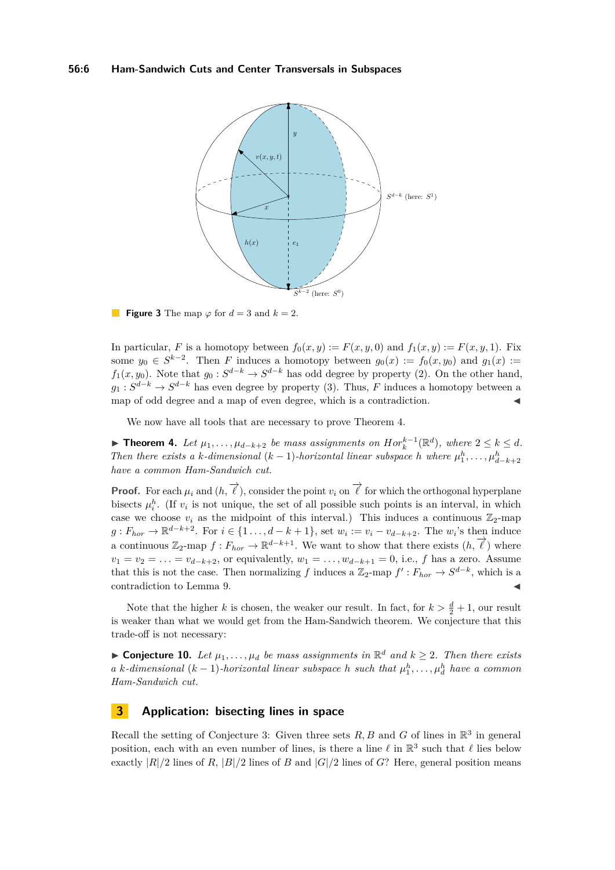## <span id="page-5-1"></span>**56:6 Ham-Sandwich Cuts and Center Transversals in Subspaces**



**Figure 3** The map  $\varphi$  for  $d = 3$  and  $k = 2$ .

In particular, *F* is a homotopy between  $f_0(x, y) := F(x, y, 0)$  and  $f_1(x, y) := F(x, y, 1)$ . Fix some  $y_0 \in S^{k-2}$ . Then *F* induces a homotopy between  $g_0(x) := f_0(x, y_0)$  and  $g_1(x) :=$ *f*<sub>1</sub>(*x, y*<sub>0</sub>). Note that *g*<sub>0</sub> :  $S^{d-k} \to S^{d-k}$  has odd degree by property (2). On the other hand,  $g_1: S^{d-k} \to S^{d-k}$  has even degree by property (3). Thus, *F* induces a homotopy between a map of odd degree and a map of even degree, which is a contradiction.

We now have all tools that are necessary to prove Theorem [4.](#page-1-1)

▶ **Theorem 4.** Let  $\mu_1, \ldots, \mu_{d-k+2}$  be mass assignments on  $Hor_k^{k-1}(\mathbb{R}^d)$ , where  $2 \leq k \leq d$ . *Then there exists a k*-dimensional (*k* − 1)-*horizontal linear subspace h* where  $\mu_1^h, \ldots, \mu_{d-k+2}^h$ *have a common Ham-Sandwich cut.*

**Proof.** For each  $\mu_i$  and  $(h, \overrightarrow{\ell})$ , consider the point  $v_i$  on  $\overrightarrow{\ell}$  for which the orthogonal hyperplane bisects  $\mu_i^h$ . (If  $v_i$  is not unique, the set of all possible such points is an interval, in which case we choose  $v_i$  as the midpoint of this interval.) This induces a continuous  $\mathbb{Z}_2$ -map *g* :  $F_{hor}$  →  $\mathbb{R}^{d-k+2}$ . For  $i \in \{1 \ldots, d - k + 1\}$ , set  $w_i := v_i - v_{d-k+2}$ . The  $w_i$ 's then induce a continuous  $\mathbb{Z}_2$ -map  $f : F_{hor} \to \mathbb{R}^{d-k+1}$ . We want to show that there exists  $(h, \vec{\ell})$  where  $v_1 = v_2 = \ldots = v_{d-k+2}$ , or equivalently,  $w_1 = \ldots, w_{d-k+1} = 0$ , i.e., *f* has a zero. Assume that this is not the case. Then normalizing *f* induces a  $\mathbb{Z}_2$ -map  $f': F_{hor} \to S^{d-k}$ , which is a contradiction to Lemma [9.](#page-4-2)

Note that the higher *k* is chosen, the weaker our result. In fact, for  $k > \frac{d}{2} + 1$ , our result is weaker than what we would get from the Ham-Sandwich theorem. We conjecture that this trade-off is not necessary:

▶ **Conjecture 10.** *Let*  $\mu_1, \ldots, \mu_d$  *be mass assignments in*  $\mathbb{R}^d$  *and*  $k \geq 2$ *. Then there exists a k*-dimensional (*k* − 1)-*horizontal linear subspace h such that*  $\mu_1^h, \ldots, \mu_d^h$  *have a common Ham-Sandwich cut.*

## <span id="page-5-0"></span>**3 Application: bisecting lines in space**

Recall the setting of Conjecture [3:](#page-1-0) Given three sets  $R, B$  and  $G$  of lines in  $\mathbb{R}^3$  in general position, each with an even number of lines, is there a line  $\ell$  in  $\mathbb{R}^3$  such that  $\ell$  lies below exactly  $|R|/2$  lines of *R*,  $|B|/2$  lines of *B* and  $|G|/2$  lines of *G*? Here, general position means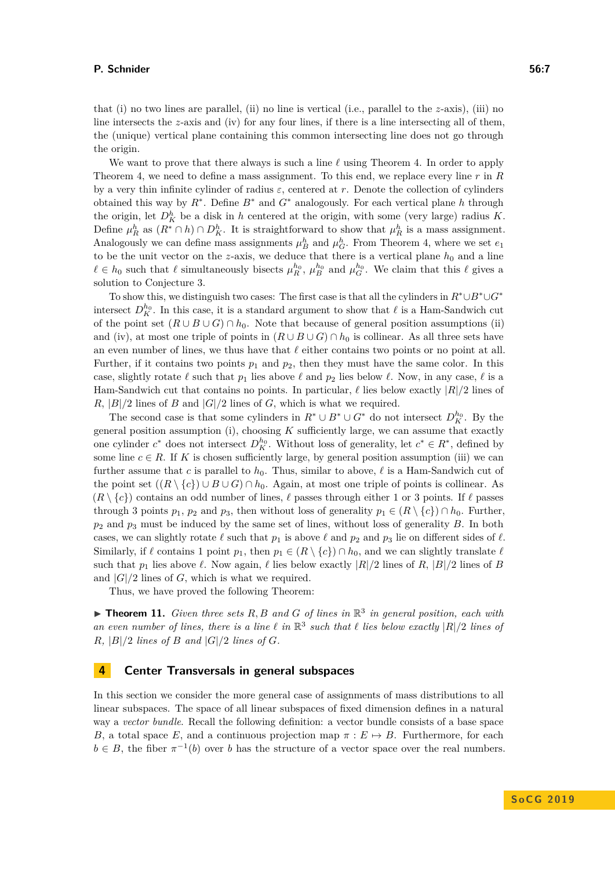that (i) no two lines are parallel, (ii) no line is vertical (i.e., parallel to the *z*-axis), (iii) no line intersects the *z*-axis and (iv) for any four lines, if there is a line intersecting all of them, the (unique) vertical plane containing this common intersecting line does not go through the origin.

We want to prove that there always is such a line  $\ell$  using Theorem [4.](#page-1-1) In order to apply Theorem [4,](#page-1-1) we need to define a mass assignment. To this end, we replace every line *r* in *R* by a very thin infinite cylinder of radius *ε*, centered at *r*. Denote the collection of cylinders obtained this way by *R*<sup>∗</sup> . Define *B*<sup>∗</sup> and *G*<sup>∗</sup> analogously. For each vertical plane *h* through the origin, let  $D_K^h$  be a disk in *h* centered at the origin, with some (very large) radius *K*. Define  $\mu_R^h$  as  $(R^* \cap h) \cap D_K^h$ . It is straightforward to show that  $\mu_R^h$  is a mass assignment. Analogously we can define mass assignments  $\mu_B^h$  and  $\mu_G^h$ . From Theorem [4,](#page-1-1) where we set  $e_1$ to be the unit vector on the *z*-axis, we deduce that there is a vertical plane  $h_0$  and a line  $\ell \in h_0$  such that  $\ell$  simultaneously bisects  $\mu_R^{h_0}, \mu_B^{h_0}$  and  $\mu_G^{h_0}$ . We claim that this  $\ell$  gives a solution to Conjecture [3.](#page-1-0)

To show this, we distinguish two cases: The first case is that all the cylinders in *R*<sup>∗</sup>∪*B*<sup>∗</sup>∪*G*<sup>∗</sup> intersect  $D_K^{h_0}$ . In this case, it is a standard argument to show that  $\ell$  is a Ham-Sandwich cut of the point set  $(R \cup B \cup G) \cap h_0$ . Note that because of general position assumptions (ii) and (iv), at most one triple of points in  $(R \cup B \cup G) \cap h_0$  is collinear. As all three sets have an even number of lines, we thus have that  $\ell$  either contains two points or no point at all. Further, if it contains two points  $p_1$  and  $p_2$ , then they must have the same color. In this case, slightly rotate  $\ell$  such that  $p_1$  lies above  $\ell$  and  $p_2$  lies below  $\ell$ . Now, in any case,  $\ell$  is a Ham-Sandwich cut that contains no points. In particular,  $\ell$  lies below exactly  $|R|/2$  lines of  $R$ ,  $|B|/2$  lines of *B* and  $|G|/2$  lines of *G*, which is what we required.

The second case is that some cylinders in  $R^* \cup B^* \cup G^*$  do not intersect  $D_K^{h_0}$ . By the general position assumption (i), choosing *K* sufficiently large, we can assume that exactly one cylinder  $c^*$  does not intersect  $D_K^{h_0}$ . Without loss of generality, let  $c^* \in R^*$ , defined by some line  $c \in R$ . If K is chosen sufficiently large, by general position assumption (iii) we can further assume that *c* is parallel to  $h_0$ . Thus, similar to above,  $\ell$  is a Ham-Sandwich cut of the point set  $((R \setminus \{c\}) \cup B \cup G) \cap h_0$ . Again, at most one triple of points is collinear. As  $(R \setminus \{c\})$  contains an odd number of lines,  $\ell$  passes through either 1 or 3 points. If  $\ell$  passes through 3 points  $p_1$ ,  $p_2$  and  $p_3$ , then without loss of generality  $p_1 \in (R \setminus \{c\}) \cap h_0$ . Further, *p*<sup>2</sup> and *p*<sup>3</sup> must be induced by the same set of lines, without loss of generality *B*. In both cases, we can slightly rotate  $\ell$  such that  $p_1$  is above  $\ell$  and  $p_2$  and  $p_3$  lie on different sides of  $\ell$ . Similarly, if  $\ell$  contains 1 point  $p_1$ , then  $p_1 \in (R \setminus \{c\}) \cap h_0$ , and we can slightly translate  $\ell$ such that  $p_1$  lies above  $\ell$ . Now again,  $\ell$  lies below exactly  $|R|/2$  lines of  $R$ ,  $|B|/2$  lines of  $B$ and  $|G|/2$  lines of  $G$ , which is what we required.

Thus, we have proved the following Theorem:

 $\blacktriangleright$  **Theorem 11.** *Given three sets R, B and G of lines in*  $\mathbb{R}^3$  *in general position, each with* an even number of lines, there is a line  $\ell$  in  $\mathbb{R}^3$  such that  $\ell$  lies below exactly  $|R|/2$  lines of  $R$ *,*  $|B|/2$  *lines of*  $B$  *and*  $|G|/2$  *lines of*  $G$ *.* 

## <span id="page-6-0"></span>**4 Center Transversals in general subspaces**

In this section we consider the more general case of assignments of mass distributions to all linear subspaces. The space of all linear subspaces of fixed dimension defines in a natural way a *vector bundle*. Recall the following definition: a vector bundle consists of a base space *B*, a total space *E*, and a continuous projection map  $\pi : E \mapsto B$ . Furthermore, for each  $b \in B$ , the fiber  $\pi^{-1}(b)$  over *b* has the structure of a vector space over the real numbers.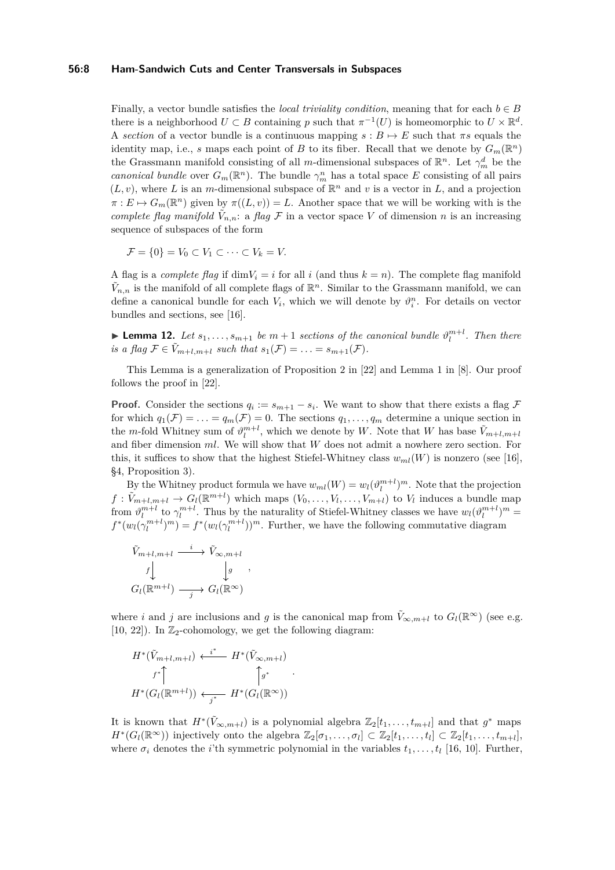## **56:8 Ham-Sandwich Cuts and Center Transversals in Subspaces**

Finally, a vector bundle satisfies the *local triviality condition*, meaning that for each  $b \in B$ there is a neighborhood  $U \subset B$  containing p such that  $\pi^{-1}(U)$  is homeomorphic to  $U \times \mathbb{R}^d$ . A *section* of a vector bundle is a continuous mapping  $s : B \mapsto E$  such that  $\pi s$  equals the identity map, i.e., *s* maps each point of *B* to its fiber. Recall that we denote by  $G_m(\mathbb{R}^n)$ the Grassmann manifold consisting of all *m*-dimensional subspaces of  $\mathbb{R}^n$ . Let  $\gamma_m^d$  be the *canonical bundle* over  $G_m(\mathbb{R}^n)$ . The bundle  $\gamma_m^n$  has a total space *E* consisting of all pairs  $(L, v)$ , where *L* is an *m*-dimensional subspace of  $\mathbb{R}^n$  and *v* is a vector in *L*, and a projection  $\pi: E \mapsto G_m(\mathbb{R}^n)$  given by  $\pi((L, v)) = L$ . Another space that we will be working with is the *complete flag manifold*  $\tilde{V}_{n,n}$ : a *flag*  $\mathcal F$  in a vector space  $V$  of dimension *n* is an increasing sequence of subspaces of the form

$$
\mathcal{F} = \{0\} = V_0 \subset V_1 \subset \cdots \subset V_k = V.
$$

A flag is a *complete flag* if  $\dim V_i = i$  for all *i* (and thus  $k = n$ ). The complete flag manifold  $\tilde{V}_{n,n}$  is the manifold of all complete flags of  $\mathbb{R}^n$ . Similar to the Grassmann manifold, we can define a canonical bundle for each  $V_i$ , which we will denote by  $\vartheta_i^n$ . For details on vector bundles and sections, see [\[16\]](#page-13-14).

<span id="page-7-0"></span>**Example 12.** *Let*  $s_1, \ldots, s_{m+1}$  *be*  $m+1$  *sections of the canonical bundle*  $\vartheta_l^{m+l}$ *. Then there is a flag*  $\mathcal{F} \in \tilde{V}_{m+l,m+l}$  *such that*  $s_1(\mathcal{F}) = \ldots = s_{m+1}(\mathcal{F})$ *.* 

This Lemma is a generalization of Proposition 2 in [\[22\]](#page-14-2) and Lemma 1 in [\[8\]](#page-13-1). Our proof follows the proof in [\[22\]](#page-14-2).

**Proof.** Consider the sections  $q_i := s_{m+1} - s_i$ . We want to show that there exists a flag  $\mathcal{F}$ for which  $q_1(\mathcal{F}) = \ldots = q_m(\mathcal{F}) = 0$ . The sections  $q_1, \ldots, q_m$  determine a unique section in the *m*-fold Whitney sum of  $\vartheta_l^{m+l}$ , which we denote by *W*. Note that *W* has base  $\tilde{V}_{m+l,m+l}$ and fiber dimension *ml*. We will show that *W* does not admit a nowhere zero section. For this, it suffices to show that the highest Stiefel-Whitney class  $w_{ml}(W)$  is nonzero (see [\[16\]](#page-13-14), §4, Proposition 3).

By the Whitney product formula we have  $w_{ml}(W) = w_l(\vartheta_l^{m+l})^m$ . Note that the projection  $f: \tilde{V}_{m+l,m+l} \to G_l(\mathbb{R}^{m+l})$  which maps  $(V_0, \ldots, V_l, \ldots, V_{m+l})$  to  $V_l$  induces a bundle map from  $\vartheta_l^{m+l}$  to  $\gamma_l^{m+l}$ . Thus by the naturality of Stiefel-Whitney classes we have  $w_l(\vartheta_l^{m+l})^m =$  $f^*(w_l(\gamma_l^{m+l})^m) = f^*(w_l(\gamma_l^{m+l}))^m$ . Further, we have the following commutative diagram

$$
\tilde{V}_{m+l,m+l} \xrightarrow{i} \tilde{V}_{\infty,m+l}
$$
\n
$$
f \downarrow \qquad \qquad f \downarrow g
$$
\n
$$
G_l(\mathbb{R}^{m+l}) \xrightarrow{j} G_l(\mathbb{R}^{\infty})
$$

where *i* and *j* are inclusions and *g* is the canonical map from  $\tilde{V}_{\infty,m+l}$  to  $G_l(\mathbb{R}^{\infty})$  (see e.g. [\[10,](#page-13-15) [22\]](#page-14-2)). In  $\mathbb{Z}_2$ -cohomology, we get the following diagram:

$$
H^*(\tilde{V}_{m+l,m+l}) \leftarrow^{i^*} H^*(\tilde{V}_{\infty,m+l})
$$
  

$$
f^*\uparrow \qquad \qquad \qquad \uparrow g^* \qquad \qquad \downarrow
$$
  

$$
H^*(G_l(\mathbb{R}^{m+l})) \leftarrow^{i^*} H^*(G_l(\mathbb{R}^{\infty}))
$$

It is known that  $H^*(\tilde{V}_{\infty,m+l})$  is a polynomial algebra  $\mathbb{Z}_2[t_1,\ldots,t_{m+l}]$  and that  $g^*$  maps  $H^*(G_l(\mathbb{R}^{\infty}))$  injectively onto the algebra  $\mathbb{Z}_2[\sigma_1,\ldots,\sigma_l] \subset \mathbb{Z}_2[t_1,\ldots,t_l] \subset \mathbb{Z}_2[t_1,\ldots,t_{m+l}],$ where  $\sigma_i$  denotes the *i*'th symmetric polynomial in the variables  $t_1, \ldots, t_l$  [\[16,](#page-13-14) [10\]](#page-13-15). Further,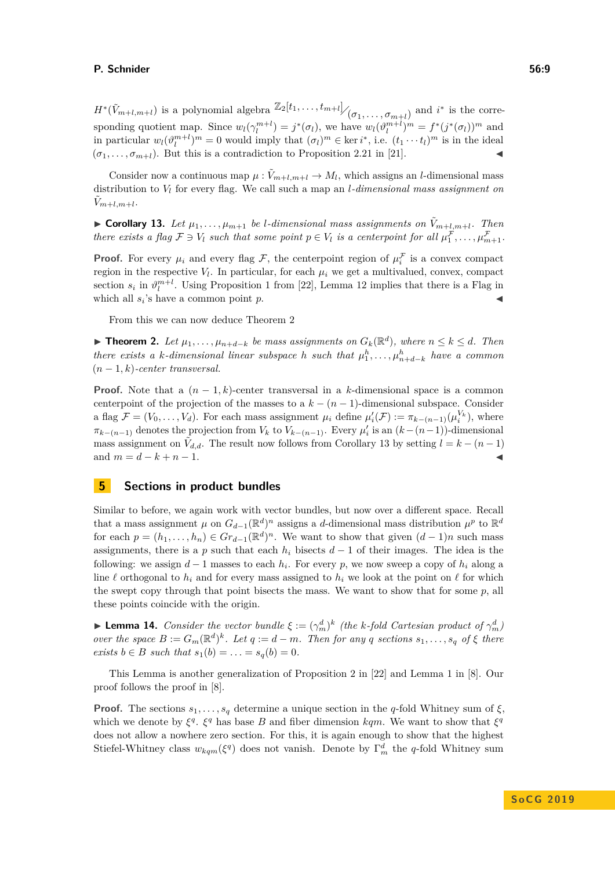$H^*(\tilde{V}_{m+l,m+l})$  is a polynomial algebra  $\mathbb{Z}_2[t_1,\ldots,t_{m+l}]$   $/(\sigma_1,\ldots,\sigma_{m+l})$  and *i*<sup>\*</sup> is the corresponding quotient map. Since  $w_l(\gamma_l^{m+l}) = j^*(\sigma_l)$ , we have  $w_l(\vartheta_l^{m+l})^m = f^*(j^*(\sigma_l))^m$  and in particular  $w_l(\vartheta_l^{m+l})^m = 0$  would imply that  $(\sigma_l)^m \in \text{ker } i^*$ , i.e.  $(t_1 \cdots t_l)^m$  is in the ideal  $(\sigma_1, \ldots, \sigma_{m+l})$ . But this is a contradiction to Proposition 2.21 in [\[21\]](#page-14-4).

Consider now a continuous map  $\mu : \tilde{V}_{m+l,m+l} \to M_l$ , which assigns an *l*-dimensional mass distribution to *V<sup>l</sup>* for every flag. We call such a map an *l-dimensional mass assignment on*  $\tilde{V}_{m+l,m+l}$ 

<span id="page-8-1"></span> $\triangleright$  **Corollary 13.** Let  $\mu_1, \ldots, \mu_{m+1}$  be *l*-dimensional mass assignments on  $\tilde{V}_{m+l,m+l}$ . Then *there exists a flag*  $\mathcal{F} \ni V_l$  *such that some point*  $p \in V_l$  *is a centerpoint for all*  $\mu_1^{\mathcal{F}}, \ldots, \mu_{m+1}^{\mathcal{F}}$ .

**Proof.** For every  $\mu_i$  and every flag F, the centerpoint region of  $\mu_i^F$  is a convex compact region in the respective  $V_l$ . In particular, for each  $\mu_i$  we get a multivalued, convex, compact section  $s_i$  in  $\vartheta_l^{m+l}$ . Using Proposition 1 from [\[22\]](#page-14-2), Lemma [12](#page-7-0) implies that there is a Flag in which all  $s_i$ 's have a common point  $p$ .

From this we can now deduce Theorem [2](#page-1-2)

▶ **Theorem 2.** Let  $\mu_1, \ldots, \mu_{n+d-k}$  be mass assignments on  $G_k(\mathbb{R}^d)$ , where  $n \leq k \leq d$ . Then *there exists a k-dimensional linear subspace h such that*  $\mu_1^h, \ldots, \mu_{n+d-k}^h$  *have a common* (*n* − 1*, k*)*-center transversal.*

**Proof.** Note that a  $(n-1,k)$ -center transversal in a *k*-dimensional space is a common centerpoint of the projection of the masses to a  $k - (n - 1)$ -dimensional subspace. Consider a flag  $\mathcal{F} = (V_0, \ldots, V_d)$ . For each mass assignment  $\mu_i$  define  $\mu'_i(\mathcal{F}) := \pi_{k-(n-1)}(\mu_i^{V_k})$ , where  $\pi_{k-(n-1)}$  denotes the projection from  $V_k$  to  $V_{k-(n-1)}$ . Every  $\mu'_i$  is an  $(k-(n-1))$ -dimensional mass assignment on  $\tilde{V}_{d,d}$ . The result now follows from Corollary [13](#page-8-1) by setting  $l = k - (n-1)$ and  $m = d - k + n - 1$ .

## <span id="page-8-0"></span>**5 Sections in product bundles**

Similar to before, we again work with vector bundles, but now over a different space. Recall that a mass assignment  $\mu$  on  $G_{d-1}(\mathbb{R}^d)^n$  assigns a *d*-dimensional mass distribution  $\mu^p$  to  $\mathbb{R}^d$ for each  $p = (h_1, \ldots, h_n) \in Gr_{d-1}(\mathbb{R}^d)^n$ . We want to show that given  $(d-1)n$  such mass assignments, there is a *p* such that each  $h_i$  bisects  $d-1$  of their images. The idea is the following: we assign *d* − 1 masses to each *h<sup>i</sup>* . For every *p*, we now sweep a copy of *h<sup>i</sup>* along a line  $\ell$  orthogonal to  $h_i$  and for every mass assigned to  $h_i$  we look at the point on  $\ell$  for which the swept copy through that point bisects the mass. We want to show that for some  $p$ , all these points coincide with the origin.

<span id="page-8-2"></span>**Example 14.** Consider the vector bundle  $\xi := (\gamma_m^d)^k$  (the *k*-fold Cartesian product of  $\gamma_m^d$ ) over the space  $B := G_m(\mathbb{R}^d)^k$ . Let  $q := d - m$ . Then for any q sections  $s_1, \ldots, s_q$  of  $\xi$  there *exists*  $b \in B$  *such that*  $s_1(b) = \ldots = s_q(b) = 0$ *.* 

This Lemma is another generalization of Proposition 2 in [\[22\]](#page-14-2) and Lemma 1 in [\[8\]](#page-13-1). Our proof follows the proof in [\[8\]](#page-13-1).

**Proof.** The sections  $s_1, \ldots, s_q$  determine a unique section in the *q*-fold Whitney sum of  $\xi$ , which we denote by  $\xi^q$ .  $\xi^q$  has base *B* and fiber dimension *kqm*. We want to show that  $\xi^q$ does not allow a nowhere zero section. For this, it is again enough to show that the highest Stiefel-Whitney class  $w_{kqm}(\xi^q)$  does not vanish. Denote by  $\Gamma_m^d$  the *q*-fold Whitney sum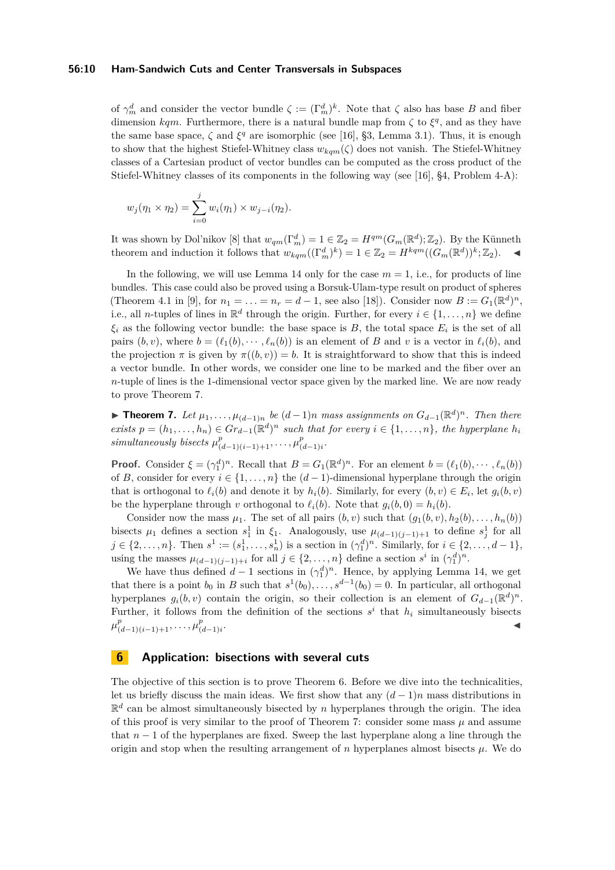## **56:10 Ham-Sandwich Cuts and Center Transversals in Subspaces**

of  $\gamma_m^d$  and consider the vector bundle  $\zeta := (\Gamma_m^d)^k$ . Note that  $\zeta$  also has base *B* and fiber dimension  $kqm$ . Furthermore, there is a natural bundle map from  $\zeta$  to  $\xi^q$ , and as they have the same base space,  $\zeta$  and  $\xi^q$  are isomorphic (see [\[16\]](#page-13-14), §3, Lemma 3.1). Thus, it is enough to show that the highest Stiefel-Whitney class  $w_{kqm}(\zeta)$  does not vanish. The Stiefel-Whitney classes of a Cartesian product of vector bundles can be computed as the cross product of the Stiefel-Whitney classes of its components in the following way (see [\[16\]](#page-13-14), §4, Problem 4-A):

$$
w_j(\eta_1 \times \eta_2) = \sum_{i=0}^j w_i(\eta_1) \times w_{j-i}(\eta_2).
$$

It was shown by Dol'nikov [\[8\]](#page-13-1) that  $w_{qm}(\Gamma_m^d) = 1 \in \mathbb{Z}_2 = H^{qm}(G_m(\mathbb{R}^d); \mathbb{Z}_2)$ . By the Künneth theorem and induction it follows that  $w_{kqm}((\Gamma_m^d)^k) = 1 \in \mathbb{Z}_2 = H^{kqm}((G_m(\mathbb{R}^d))^k; \mathbb{Z}_2)$ .

In the following, we will use Lemma [14](#page-8-2) only for the case  $m = 1$ , i.e., for products of line bundles. This case could also be proved using a Borsuk-Ulam-type result on product of spheres (Theorem 4.1 in [\[9\]](#page-13-16), for  $n_1 = ... = n_r = d - 1$ , see also [\[18\]](#page-14-5)). Consider now  $B := G_1(\mathbb{R}^d)^n$ , i.e., all *n*-tuples of lines in  $\mathbb{R}^d$  through the origin. Further, for every  $i \in \{1, ..., n\}$  we define  $\xi_i$  as the following vector bundle: the base space is *B*, the total space  $E_i$  is the set of all pairs  $(b, v)$ , where  $b = (\ell_1(b), \dots, \ell_n(b))$  is an element of *B* and *v* is a vector in  $\ell_i(b)$ , and the projection  $\pi$  is given by  $\pi((b, v)) = b$ . It is straightforward to show that this is indeed a vector bundle. In other words, we consider one line to be marked and the fiber over an *n*-tuple of lines is the 1-dimensional vector space given by the marked line. We are now ready to prove Theorem [7.](#page-3-2)

**► Theorem 7.** Let  $\mu_1, \ldots, \mu_{(d-1)n}$  be  $(d-1)n$  mass assignments on  $G_{d-1}(\mathbb{R}^d)^n$ . Then there *exists*  $p = (h_1, \ldots, h_n) \in \text{Gr}_{d-1}(\mathbb{R}^d)^n$  *such that for every*  $i \in \{1, \ldots, n\}$ *, the hyperplane*  $h_i$ *simultaneously bisects*  $\mu_{(d-1)(i-1)+1}^p, \ldots, \mu_{(d)}^p$ (*d*−1)*i .*

**Proof.** Consider  $\xi = (\gamma_1^d)^n$ . Recall that  $B = G_1(\mathbb{R}^d)^n$ . For an element  $b = (\ell_1(b), \dots, \ell_n(b))$ of *B*, consider for every  $i \in \{1, \ldots, n\}$  the  $(d-1)$ -dimensional hyperplane through the origin that is orthogonal to  $\ell_i(b)$  and denote it by  $h_i(b)$ . Similarly, for every  $(b, v) \in E_i$ , let  $g_i(b, v)$ be the hyperplane through *v* orthogonal to  $\ell_i(b)$ . Note that  $g_i(b, 0) = h_i(b)$ .

Consider now the mass  $\mu_1$ . The set of all pairs  $(b, v)$  such that  $(q_1(b, v), h_2(b), \ldots, h_n(b))$ bisects  $\mu_1$  defines a section  $s_1^1$  in  $\xi_1$ . Analogously, use  $\mu_{(d-1)(j-1)+1}$  to define  $s_j^1$  for all  $j \in \{2, ..., n\}$ . Then  $s^1 := (s_1^1, ..., s_n^1)$  is a section in  $(\gamma_1^d)^n$ . Similarly, for  $i \in \{2, ..., d-1\}$ , using the masses  $\mu_{(d-1)(j-1)+i}$  for all  $j \in \{2, ..., n\}$  define a section  $s^i$  in  $(\gamma_1^d)^n$ .

We have thus defined  $d-1$  sections in  $(\gamma_1^d)^n$ . Hence, by applying Lemma [14,](#page-8-2) we get that there is a point  $b_0$  in *B* such that  $s^1(b_0), \ldots, s^{d-1}(b_0) = 0$ . In particular, all orthogonal hyperplanes  $g_i(b, v)$  contain the origin, so their collection is an element of  $G_{d-1}(\mathbb{R}^d)^n$ . Further, it follows from the definition of the sections  $s^i$  that  $h_i$  simultaneously bisects  $\mu_{(d-1)(i-1)+1}^p, \ldots, \mu_{(d)}^p$ (*d*−1)*i* . John Stein Stein Stein Stein Stein Stein Stein Stein Stein Stein Stein Stein Stein Stein Stein Stein Stein S<br>John Stein Stein Stein Stein Stein Stein Stein Stein Stein Stein Stein Stein Stein Stein Stein Stein Stein Ste

## <span id="page-9-0"></span>**6 Application: bisections with several cuts**

The objective of this section is to prove Theorem [6.](#page-3-1) Before we dive into the technicalities, let us briefly discuss the main ideas. We first show that any  $(d-1)n$  mass distributions in  $\mathbb{R}^d$  can be almost simultaneously bisected by *n* hyperplanes through the origin. The idea of this proof is very similar to the proof of Theorem [7:](#page-3-2) consider some mass  $\mu$  and assume that *n* − 1 of the hyperplanes are fixed. Sweep the last hyperplane along a line through the origin and stop when the resulting arrangement of  $n$  hyperplanes almost bisects  $\mu$ . We do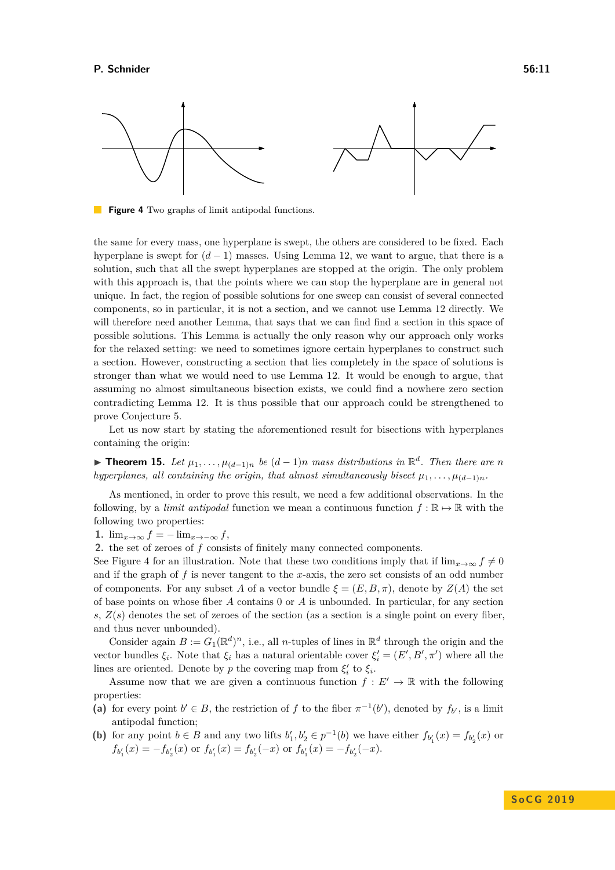<span id="page-10-0"></span>

**Figure 4** Two graphs of limit antipodal functions.

the same for every mass, one hyperplane is swept, the others are considered to be fixed. Each hyperplane is swept for  $(d-1)$  masses. Using Lemma [12,](#page-7-0) we want to argue, that there is a solution, such that all the swept hyperplanes are stopped at the origin. The only problem with this approach is, that the points where we can stop the hyperplane are in general not unique. In fact, the region of possible solutions for one sweep can consist of several connected components, so in particular, it is not a section, and we cannot use Lemma [12](#page-7-0) directly. We will therefore need another Lemma, that says that we can find find a section in this space of possible solutions. This Lemma is actually the only reason why our approach only works for the relaxed setting: we need to sometimes ignore certain hyperplanes to construct such a section. However, constructing a section that lies completely in the space of solutions is stronger than what we would need to use Lemma [12.](#page-7-0) It would be enough to argue, that assuming no almost simultaneous bisection exists, we could find a nowhere zero section contradicting Lemma [12.](#page-7-0) It is thus possible that our approach could be strengthened to prove Conjecture [5.](#page-2-1)

Let us now start by stating the aforementioned result for bisections with hyperplanes containing the origin:

<span id="page-10-1"></span>▶ **Theorem 15.** Let  $\mu_1, \ldots, \mu_{(d-1)n}$  be  $(d-1)n$  mass distributions in  $\mathbb{R}^d$ . Then there are *n hyperplanes, all containing the origin, that almost simultaneously bisect*  $\mu_1, \ldots, \mu_{(d-1)n}$ .

As mentioned, in order to prove this result, we need a few additional observations. In the following, by a *limit antipodal* function we mean a continuous function  $f : \mathbb{R} \to \mathbb{R}$  with the following two properties:

1.  $\lim_{x\to\infty} f = -\lim_{x\to-\infty} f$ ,

**2.** the set of zeroes of *f* consists of finitely many connected components.

See Figure [4](#page-10-0) for an illustration. Note that these two conditions imply that if  $\lim_{x\to\infty} f \neq 0$ and if the graph of *f* is never tangent to the *x*-axis, the zero set consists of an odd number of components. For any subset A of a vector bundle  $\xi = (E, B, \pi)$ , denote by  $Z(A)$  the set of base points on whose fiber *A* contains 0 or *A* is unbounded. In particular, for any section *s*, *Z*(*s*) denotes the set of zeroes of the section (as a section is a single point on every fiber, and thus never unbounded).

Consider again  $B := G_1(\mathbb{R}^d)^n$ , i.e., all *n*-tuples of lines in  $\mathbb{R}^d$  through the origin and the vector bundles  $\xi_i$ . Note that  $\xi_i$  has a natural orientable cover  $\xi'_i = (E', B', \pi')$  where all the lines are oriented. Denote by *p* the covering map from  $\xi_i'$  to  $\xi_i$ .

Assume now that we are given a continuous function  $f: E' \to \mathbb{R}$  with the following properties:

- (a) for every point  $b' \in B$ , the restriction of *f* to the fiber  $\pi^{-1}(b')$ , denoted by  $f_{b'}$ , is a limit antipodal function;
- (**b**) for any point  $b \in B$  and any two lifts  $b'_1, b'_2 \in p^{-1}(b)$  we have either  $f_{b'_1}(x) = f_{b'_2}(x)$  or  $f_{b'_1}(x) = -f_{b'_2}(x)$  or  $f_{b'_1}(x) = f_{b'_2}(-x)$  or  $f_{b'_1}(x) = -f_{b'_2}(-x)$ .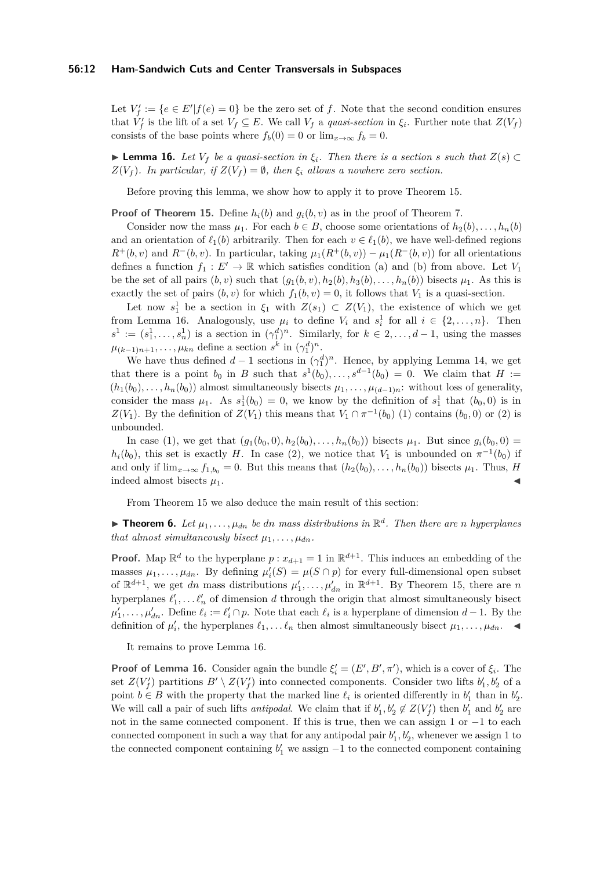#### **56:12 Ham-Sandwich Cuts and Center Transversals in Subspaces**

Let  $V'_f := \{e \in E' | f(e) = 0\}$  be the zero set of f. Note that the second condition ensures that  $\hat{V}_f'$  is the lift of a set  $V_f \subseteq E$ . We call  $V_f$  a *quasi-section* in  $\xi_i$ . Further note that  $Z(V_f)$ consists of the base points where  $f_b(0) = 0$  or  $\lim_{x\to\infty} f_b = 0$ .

<span id="page-11-0"></span>**► Lemma 16.** Let  $V_f$  be a quasi-section in  $\xi_i$ . Then there is a section *s* such that  $Z(s)$  ⊂  $Z(V_f)$ *. In particular, if*  $Z(V_f) = \emptyset$ *, then*  $\xi_i$  *allows a nowhere zero section.* 

Before proving this lemma, we show how to apply it to prove Theorem [15.](#page-10-1)

**Proof of Theorem [15.](#page-10-1)** Define  $h_i(b)$  and  $g_i(b, v)$  as in the proof of Theorem [7.](#page-3-2)

Consider now the mass  $\mu_1$ . For each  $b \in B$ , choose some orientations of  $h_2(b), \ldots, h_n(b)$ and an orientation of  $\ell_1(b)$  arbitrarily. Then for each  $v \in \ell_1(b)$ , we have well-defined regions  $R^+(b, v)$  and  $R^-(b, v)$ . In particular, taking  $\mu_1(R^+(b, v)) - \mu_1(R^-(b, v))$  for all orientations defines a function  $f_1 : E' \to \mathbb{R}$  which satisfies condition (a) and (b) from above. Let  $V_1$ be the set of all pairs  $(b, v)$  such that  $(q_1(b, v), h_2(b), h_3(b), \ldots, h_n(b))$  bisects  $\mu_1$ . As this is exactly the set of pairs  $(b, v)$  for which  $f_1(b, v) = 0$ , it follows that  $V_1$  is a quasi-section.

Let now  $s_1^1$  be a section in  $\xi_1$  with  $Z(s_1) \subset Z(V_1)$ , the existence of which we get from Lemma [16.](#page-11-0) Analogously, use  $\mu_i$  to define  $V_i$  and  $s_i^1$  for all  $i \in \{2, \ldots, n\}$ . Then  $s^1 := (s_1^1, \ldots, s_n^1)$  is a section in  $(\gamma_1^d)^n$ . Similarly, for  $k \in 2, \ldots, d-1$ , using the masses  $\mu_{(k-1)n+1}, \ldots, \mu_{kn}$  define a section  $s^k$  in  $(\gamma_1^d)^n$ .

We have thus defined  $d-1$  sections in  $(\gamma_1^d)^n$ . Hence, by applying Lemma [14,](#page-8-2) we get that there is a point  $b_0$  in *B* such that  $s^1(b_0), \ldots, s^{d-1}(b_0) = 0$ . We claim that  $H :=$  $(h_1(b_0), \ldots, h_n(b_0))$  almost simultaneously bisects  $\mu_1, \ldots, \mu_{(d-1)n}$ : without loss of generality, consider the mass  $\mu_1$ . As  $s_1^1(b_0) = 0$ , we know by the definition of  $s_1^1$  that  $(b_0, 0)$  is in *Z*(*V*<sub>1</sub>). By the definition of *Z*(*V*<sub>1</sub>) this means that *V*<sub>1</sub> ∩  $\pi^{-1}(b_0)$  (1) contains (*b*<sub>0</sub>, 0) or (2) is unbounded.

In case (1), we get that  $(g_1(b_0, 0), h_2(b_0), \ldots, h_n(b_0))$  bisects  $\mu_1$ . But since  $g_i(b_0, 0)$  =  $h_i(b_0)$ , this set is exactly *H*. In case (2), we notice that *V*<sub>1</sub> is unbounded on  $\pi^{-1}(b_0)$  if and only if  $\lim_{x\to\infty} f_{1,b_0} = 0$ . But this means that  $(h_2(b_0), \ldots, h_n(b_0))$  bisects  $\mu_1$ . Thus, *H* indeed almost bisects  $\mu_1$ .

From Theorem [15](#page-10-1) we also deduce the main result of this section:

**Find 1.** Theorem 6. Let  $\mu_1, \ldots, \mu_{dn}$  be dn mass distributions in  $\mathbb{R}^d$ . Then there are *n* hyperplanes *that almost simultaneously bisect*  $\mu_1, \ldots, \mu_{dn}$ .

**Proof.** Map  $\mathbb{R}^d$  to the hyperplane  $p: x_{d+1} = 1$  in  $\mathbb{R}^{d+1}$ . This induces an embedding of the masses  $\mu_1, \ldots, \mu_{dn}$ . By defining  $\mu'_i(S) = \mu(S \cap p)$  for every full-dimensional open subset of  $\mathbb{R}^{d+1}$ , we get *dn* mass distributions  $\mu'_1, \ldots, \mu'_{dn}$  in  $\mathbb{R}^{d+1}$ . By Theorem [15,](#page-10-1) there are *n* hyperplanes  $\ell'_1, \ldots \ell'_n$  of dimension *d* through the origin that almost simultaneously bisect  $\mu'_1, \ldots, \mu'_{dn}$ . Define  $\ell_i := \ell'_i \cap p$ . Note that each  $\ell_i$  is a hyperplane of dimension  $d-1$ . By the definition of  $\mu'_i$ , the hyperplanes  $\ell_1, \ldots, \ell_n$  then almost simultaneously bisect  $\mu_1, \ldots, \mu_{dn}$ .

It remains to prove Lemma [16.](#page-11-0)

**Proof of Lemma [16.](#page-11-0)** Consider again the bundle  $\xi' = (E', B', \pi')$ , which is a cover of  $\xi_i$ . The set  $Z(V_f')$  partitions  $B' \setminus Z(V_f')$  into connected components. Consider two lifts  $b'_1, b'_2$  of a point  $b \in B$  with the property that the marked line  $\ell_i$  is oriented differently in  $b'_1$  than in  $b'_2$ . We will call a pair of such lifts *antipodal*. We claim that if  $b'_1, b'_2 \notin Z(V'_f)$  then  $b'_1$  and  $b'_2$  are not in the same connected component. If this is true, then we can assign 1 or −1 to each connected component in such a way that for any antipodal pair  $b'_1, b'_2$ , whenever we assign 1 to the connected component containing  $b'_1$  we assign  $-1$  to the connected component containing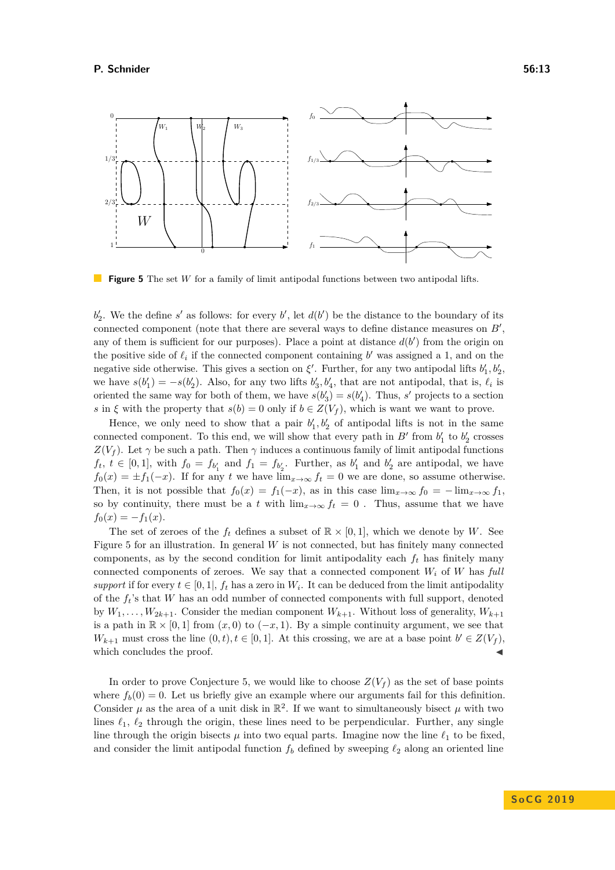<span id="page-12-0"></span>

**Figure 5** The set *W* for a family of limit antipodal functions between two antipodal lifts.

 $b_2'$ . We the define *s*' as follows: for every *b*', let  $d(b')$  be the distance to the boundary of its connected component (note that there are several ways to define distance measures on  $B'$ , any of them is sufficient for our purposes). Place a point at distance  $d(b')$  from the origin on the positive side of  $\ell_i$  if the connected component containing  $b'$  was assigned a 1, and on the negative side otherwise. This gives a section on  $\xi'$ . Further, for any two antipodal lifts  $b'_1, b'_2,$ we have  $s(b'_1) = -s(b'_2)$ . Also, for any two lifts  $b'_3, b'_4$ , that are not antipodal, that is,  $\ell_i$  is oriented the same way for both of them, we have  $s(b'_3) = s(b'_4)$ . Thus, *s'* projects to a section *s* in  $\xi$  with the property that  $s(b) = 0$  only if  $b \in Z(V_f)$ , which is want we want to prove.

Hence, we only need to show that a pair  $b'_1, b'_2$  of antipodal lifts is not in the same connected component. To this end, we will show that every path in  $B'$  from  $b'_1$  to  $b'_2$  crosses  $Z(V_f)$ . Let  $\gamma$  be such a path. Then  $\gamma$  induces a continuous family of limit antipodal functions  $f_t, t \in [0,1]$ , with  $f_0 = f_{b_1'}$  and  $f_1 = f_{b_2'}$ . Further, as  $b_1'$  and  $b_2'$  are antipodal, we have  $f_0(x) = \pm f_1(-x)$ . If for any *t* we have  $\lim_{x\to\infty} f_t = 0$  we are done, so assume otherwise. Then, it is not possible that  $f_0(x) = f_1(-x)$ , as in this case  $\lim_{x\to\infty} f_0 = -\lim_{x\to\infty} f_1$ , so by continuity, there must be a *t* with  $\lim_{x\to\infty} f_t = 0$ . Thus, assume that we have  $f_0(x) = -f_1(x)$ .

The set of zeroes of the  $f_t$  defines a subset of  $\mathbb{R} \times [0,1]$ , which we denote by *W*. See Figure [5](#page-12-0) for an illustration. In general *W* is not connected, but has finitely many connected components, as by the second condition for limit antipodality each  $f_t$  has finitely many connected components of zeroes. We say that a connected component  $W_i$  of  $W$  has *full support* if for every  $t \in [0, 1]$ ,  $f_t$  has a zero in  $W_i$ . It can be deduced from the limit antipodality of the *ft*'s that *W* has an odd number of connected components with full support, denoted by  $W_1, \ldots, W_{2k+1}$ . Consider the median component  $W_{k+1}$ . Without loss of generality,  $W_{k+1}$ is a path in  $\mathbb{R} \times [0,1]$  from  $(x,0)$  to  $(-x,1)$ . By a simple continuity argument, we see that *W*<sub>*k*+1</sub> must cross the line  $(0, t), t \in [0, 1]$ . At this crossing, we are at a base point  $b' \in Z(V_f)$ , which concludes the proof.

In order to prove Conjecture [5,](#page-2-1) we would like to choose  $Z(V_f)$  as the set of base points where  $f_b(0) = 0$ . Let us briefly give an example where our arguments fail for this definition. Consider  $\mu$  as the area of a unit disk in  $\mathbb{R}^2$ . If we want to simultaneously bisect  $\mu$  with two lines  $\ell_1$ ,  $\ell_2$  through the origin, these lines need to be perpendicular. Further, any single line through the origin bisects  $\mu$  into two equal parts. Imagine now the line  $\ell_1$  to be fixed, and consider the limit antipodal function  $f_b$  defined by sweeping  $\ell_2$  along an oriented line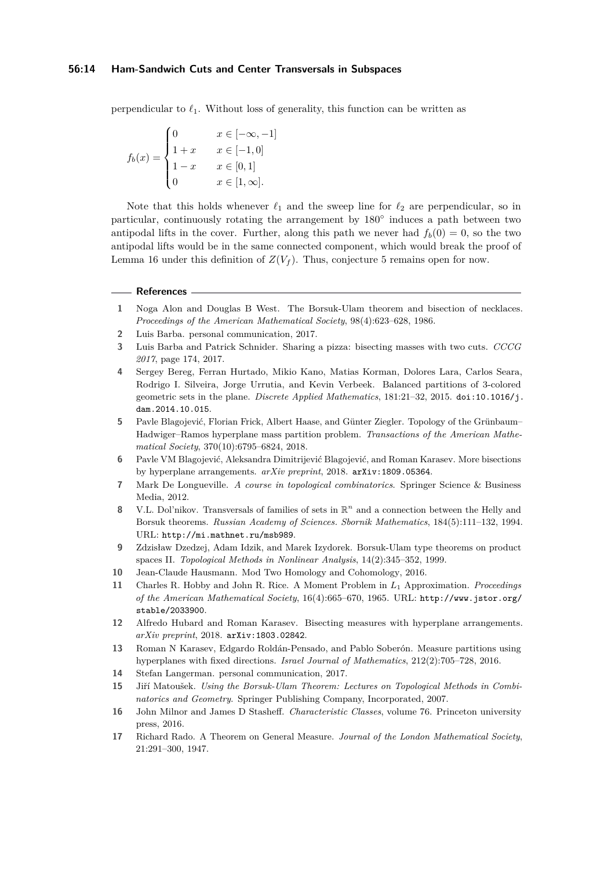perpendicular to  $\ell_1$ . Without loss of generality, this function can be written as

$$
f_b(x) = \begin{cases} 0 & x \in [-\infty, -1] \\ 1 + x & x \in [-1, 0] \\ 1 - x & x \in [0, 1] \\ 0 & x \in [1, \infty]. \end{cases}
$$

Note that this holds whenever  $\ell_1$  and the sweep line for  $\ell_2$  are perpendicular, so in particular, continuously rotating the arrangement by 180° induces a path between two antipodal lifts in the cover. Further, along this path we never had  $f_b(0) = 0$ , so the two antipodal lifts would be in the same connected component, which would break the proof of Lemma [16](#page-11-0) under this definition of  $Z(V_f)$ . Thus, conjecture [5](#page-2-1) remains open for now.

#### **References**

- <span id="page-13-4"></span>**1** Noga Alon and Douglas B West. The Borsuk-Ulam theorem and bisection of necklaces. *Proceedings of the American Mathematical Society*, 98(4):623–628, 1986.
- <span id="page-13-3"></span>**2** Luis Barba. personal communication, 2017.
- <span id="page-13-9"></span>**3** Luis Barba and Patrick Schnider. Sharing a pizza: bisecting masses with two cuts. *CCCG 2017*, page 174, 2017.
- <span id="page-13-10"></span>**4** Sergey Bereg, Ferran Hurtado, Mikio Kano, Matias Korman, Dolores Lara, Carlos Seara, Rodrigo I. Silveira, Jorge Urrutia, and Kevin Verbeek. Balanced partitions of 3-colored geometric sets in the plane. *Discrete Applied Mathematics*, 181:21–32, 2015. [doi:10.1016/j.](http://dx.doi.org/10.1016/j.dam.2014.10.015) [dam.2014.10.015](http://dx.doi.org/10.1016/j.dam.2014.10.015).
- <span id="page-13-5"></span>**5** Pavle Blagojević, Florian Frick, Albert Haase, and Günter Ziegler. Topology of the Grünbaum– Hadwiger–Ramos hyperplane mass partition problem. *Transactions of the American Mathematical Society*, 370(10):6795–6824, 2018.
- <span id="page-13-11"></span>**6** Pavle VM Blagojević, Aleksandra Dimitrijević Blagojević, and Roman Karasev. More bisections by hyperplane arrangements. *arXiv preprint*, 2018. [arXiv:1809.05364](http://arxiv.org/abs/1809.05364).
- <span id="page-13-13"></span>**7** Mark De Longueville. *A course in topological combinatorics*. Springer Science & Business Media, 2012.
- <span id="page-13-1"></span>8 V.L. Dol'nikov. Transversals of families of sets in  $\mathbb{R}^n$  and a connection between the Helly and Borsuk theorems. *Russian Academy of Sciences. Sbornik Mathematics*, 184(5):111–132, 1994. URL: <http://mi.mathnet.ru/msb989>.
- <span id="page-13-16"></span>**9** Zdzisław Dzedzej, Adam Idzik, and Marek Izydorek. Borsuk-Ulam type theorems on product spaces II. *Topological Methods in Nonlinear Analysis*, 14(2):345–352, 1999.
- <span id="page-13-15"></span>**10** Jean-Claude Hausmann. Mod Two Homology and Cohomology, 2016.
- <span id="page-13-8"></span>**11** Charles R. Hobby and John R. Rice. A Moment Problem in *L*<sup>1</sup> Approximation. *Proceedings of the American Mathematical Society*, 16(4):665–670, 1965. URL: [http://www.jstor.org/](http://www.jstor.org/stable/2033900) [stable/2033900](http://www.jstor.org/stable/2033900).
- <span id="page-13-12"></span>**12** Alfredo Hubard and Roman Karasev. Bisecting measures with hyperplane arrangements. *arXiv preprint*, 2018. [arXiv:1803.02842](http://arxiv.org/abs/1803.02842).
- <span id="page-13-6"></span>**13** Roman N Karasev, Edgardo Roldán-Pensado, and Pablo Soberón. Measure partitions using hyperplanes with fixed directions. *Israel Journal of Mathematics*, 212(2):705–728, 2016.
- <span id="page-13-7"></span>**14** Stefan Langerman. personal communication, 2017.
- <span id="page-13-0"></span>**15** Jiří Matoušek. *Using the Borsuk-Ulam Theorem: Lectures on Topological Methods in Combinatorics and Geometry*. Springer Publishing Company, Incorporated, 2007.
- <span id="page-13-14"></span>**16** John Milnor and James D Stasheff. *Characteristic Classes*, volume 76. Princeton university press, 2016.
- <span id="page-13-2"></span>**17** Richard Rado. A Theorem on General Measure. *Journal of the London Mathematical Society*, 21:291–300, 1947.